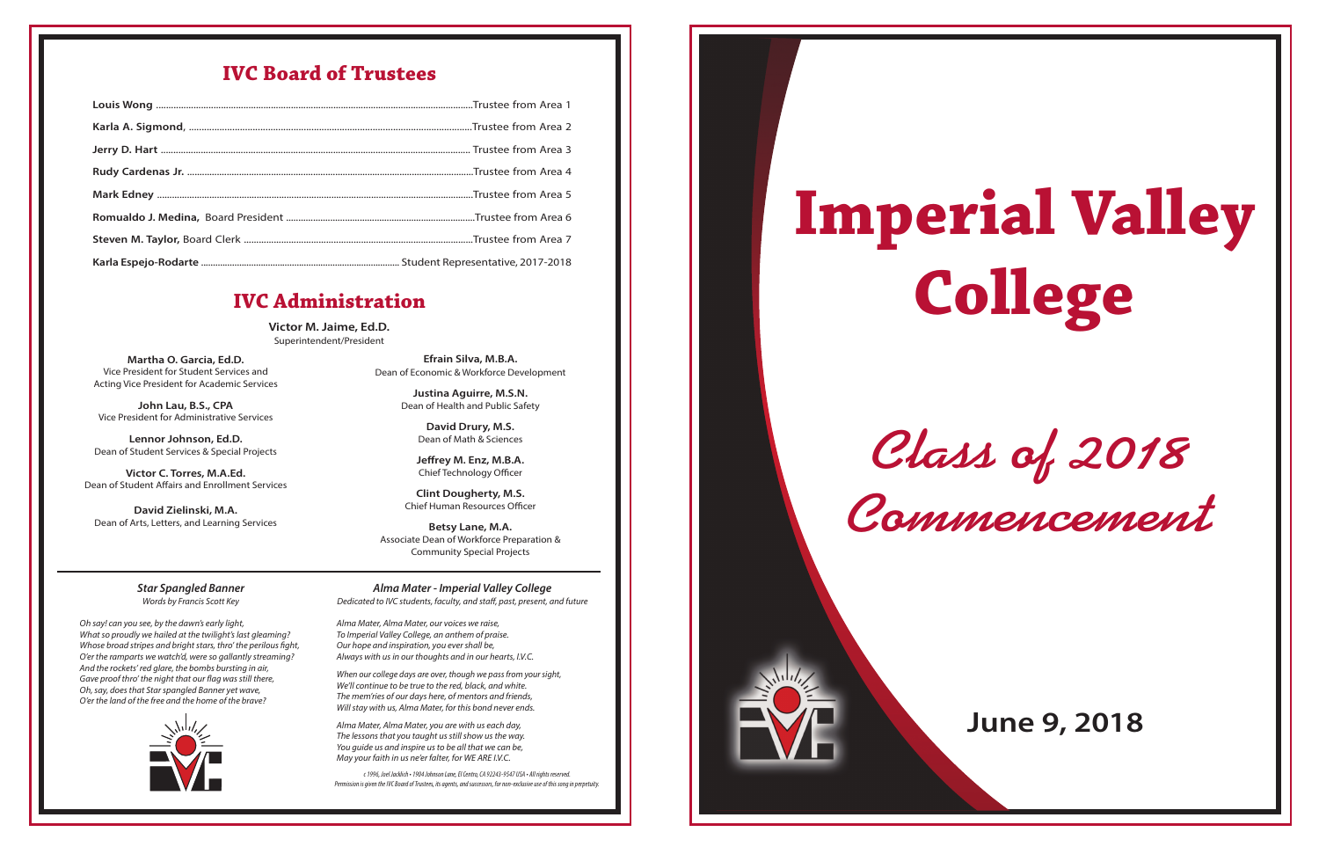*Class of 2018 Commencement*

# **Imperial Valley College**



# **June 9, 2018**

**Victor M. Jaime, Ed.D.** Superintendent/President

> Alma Mater, Alma Mater, our voices we raise, To Imperial Valley College, an anthem of praise. Our hope and inspiration, you evershall be, Always with us in our thoughts and in our hearts, I.V.C.

When our college days are over, though we pass from your sight, We'll continue to be true to the red, black, and white. The mem'ries of our days here, of mentors and friends, Will stay with us, Alma Mater, for this bond never ends.

**Martha O. Garcia, Ed.D.** Vice President for Student Services and Acting Vice President for Academic Services

**John Lau, B.S., CPA** Vice President for Administrative Services

**Lennor Johnson, Ed.D.** Dean of Student Services & Special Projects

**Victor C. Torres, M.A.Ed.** Dean of Student Affairs and Enrollment Services

**David Zielinski, M.A.** Dean of Arts, Letters, and Learning Services

> *c1996, Joel Jacklich•1904JohnsonLane,ElCentro,CA 92243-9547 USA • All rights reserved. Permission is given the IVC Board of Trustees, its agents, and successors, for non-exclusive use of this song in perpetuity.*

**Efrain Silva, M.B.A.** Dean of Economic & Workforce Development

> **Justina Aguirre, M.S.N.** Dean of Health and Public Safety

> > **David Drury, M.S.** Dean of Math & Sciences

**Jeffrey M. Enz, M.B.A.** Chief Technology Officer

**Clint Dougherty, M.S.** Chief Human Resources Officer

**Betsy Lane, M.A.** Associate Dean of Workforce Preparation & Community Special Projects

## **IVC Board of Trustees**

## **IVC Administration**

*Star Spangled Banner* Words by Francis Scott Key

Oh say! can you see, by the dawn's early light, What so proudly we hailed at the twilight's last gleaming? Whose broad stripes and bright stars, thro' the perilous fight, O'er the ramparts we watch'd, were so gallantly streaming? And the rockets' red glare, the bombs bursting in air, Gave proof thro' the night that our flag was still there, Oh, say, does that Star spangled Banner yet wave, O'er the land of the free and the home of the brave?



*Alma Mater - Imperial Valley College* Dedicated to IVC students, faculty, and staff, past, present, and future

Alma Mater, Alma Mater, you are with us each day, The lessons that you taught us still show us the way. You guide us and inspire us to be all that we can be, May your faith in us ne'er falter, for WE ARE I.V.C.